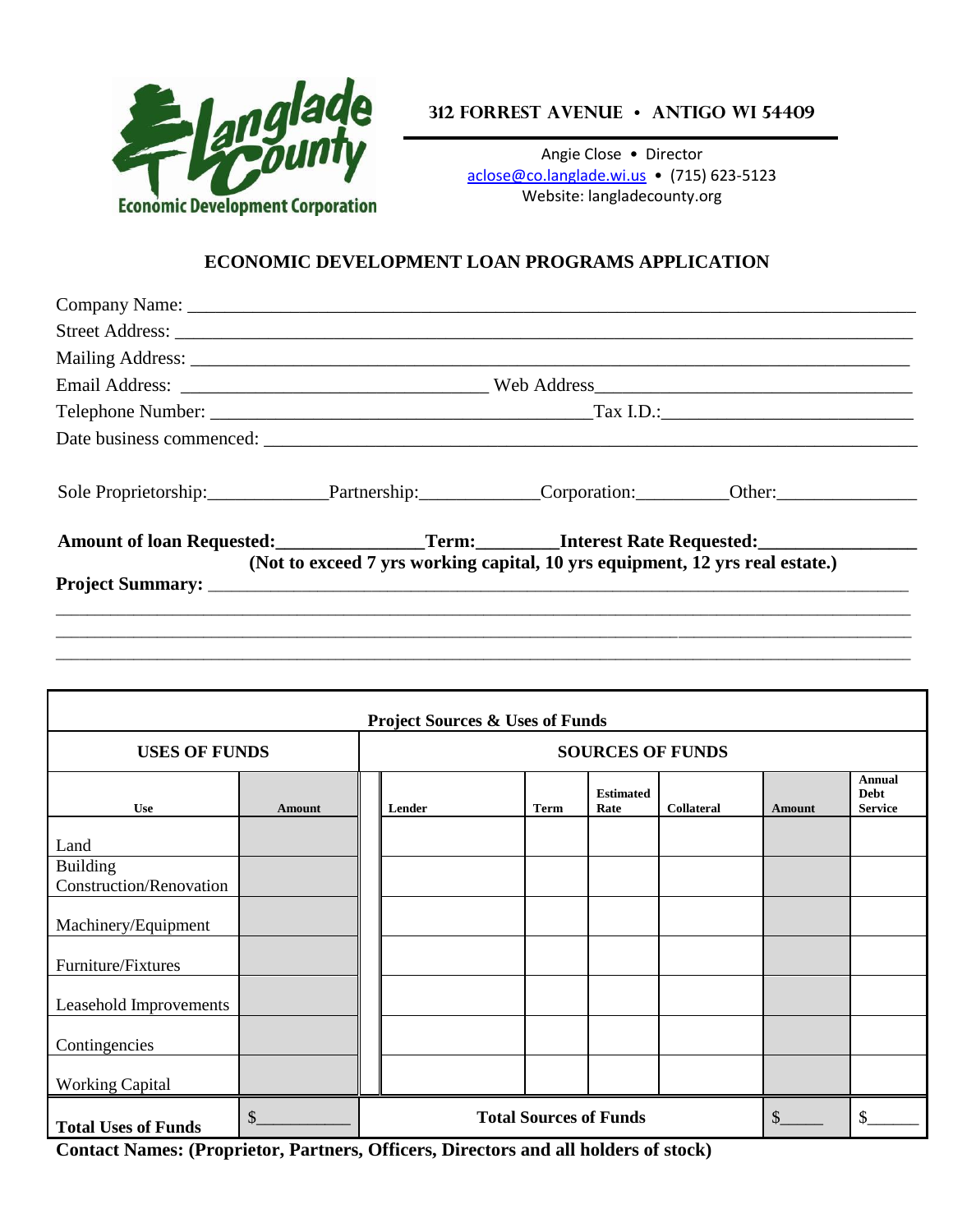

**312 Forrest Avenue • Antigo WI 54409**

Angie Close • Director [aclose@co.langlade.wi.us](mailto:aclose@co.langlade.wi.us) • (715) 623-5123 Website: langladecounty.org

### **ECONOMIC DEVELOPMENT LOAN PROGRAMS APPLICATION**

| Sole Proprietorship: Partnership: Corporation: Other: Other:                     |                                                                              |  |
|----------------------------------------------------------------------------------|------------------------------------------------------------------------------|--|
| Amount of loan Requested:<br>Term:<br>Term:<br>Term:<br>Interest Rate Requested: |                                                                              |  |
|                                                                                  | (Not to exceed 7 yrs working capital, 10 yrs equipment, 12 yrs real estate.) |  |
|                                                                                  |                                                                              |  |

| <b>Project Sources &amp; Uses of Funds</b>        |               |                                     |        |             |                          |                   |               |                                                |
|---------------------------------------------------|---------------|-------------------------------------|--------|-------------|--------------------------|-------------------|---------------|------------------------------------------------|
| <b>USES OF FUNDS</b>                              |               | <b>SOURCES OF FUNDS</b>             |        |             |                          |                   |               |                                                |
| <b>Use</b>                                        | <b>Amount</b> |                                     | Lender | <b>Term</b> | <b>Estimated</b><br>Rate | <b>Collateral</b> | <b>Amount</b> | <b>Annual</b><br><b>Debt</b><br><b>Service</b> |
| Land                                              |               |                                     |        |             |                          |                   |               |                                                |
| <b>Building</b><br><b>Construction/Renovation</b> |               |                                     |        |             |                          |                   |               |                                                |
| Machinery/Equipment                               |               |                                     |        |             |                          |                   |               |                                                |
| Furniture/Fixtures                                |               |                                     |        |             |                          |                   |               |                                                |
| Leasehold Improvements                            |               |                                     |        |             |                          |                   |               |                                                |
| Contingencies                                     |               |                                     |        |             |                          |                   |               |                                                |
| <b>Working Capital</b>                            |               |                                     |        |             |                          |                   |               |                                                |
| <b>Total Uses of Funds</b>                        | \$            | \$<br><b>Total Sources of Funds</b> |        |             |                          |                   | ፍ             |                                                |

**Contact Names: (Proprietor, Partners, Officers, Directors and all holders of stock)**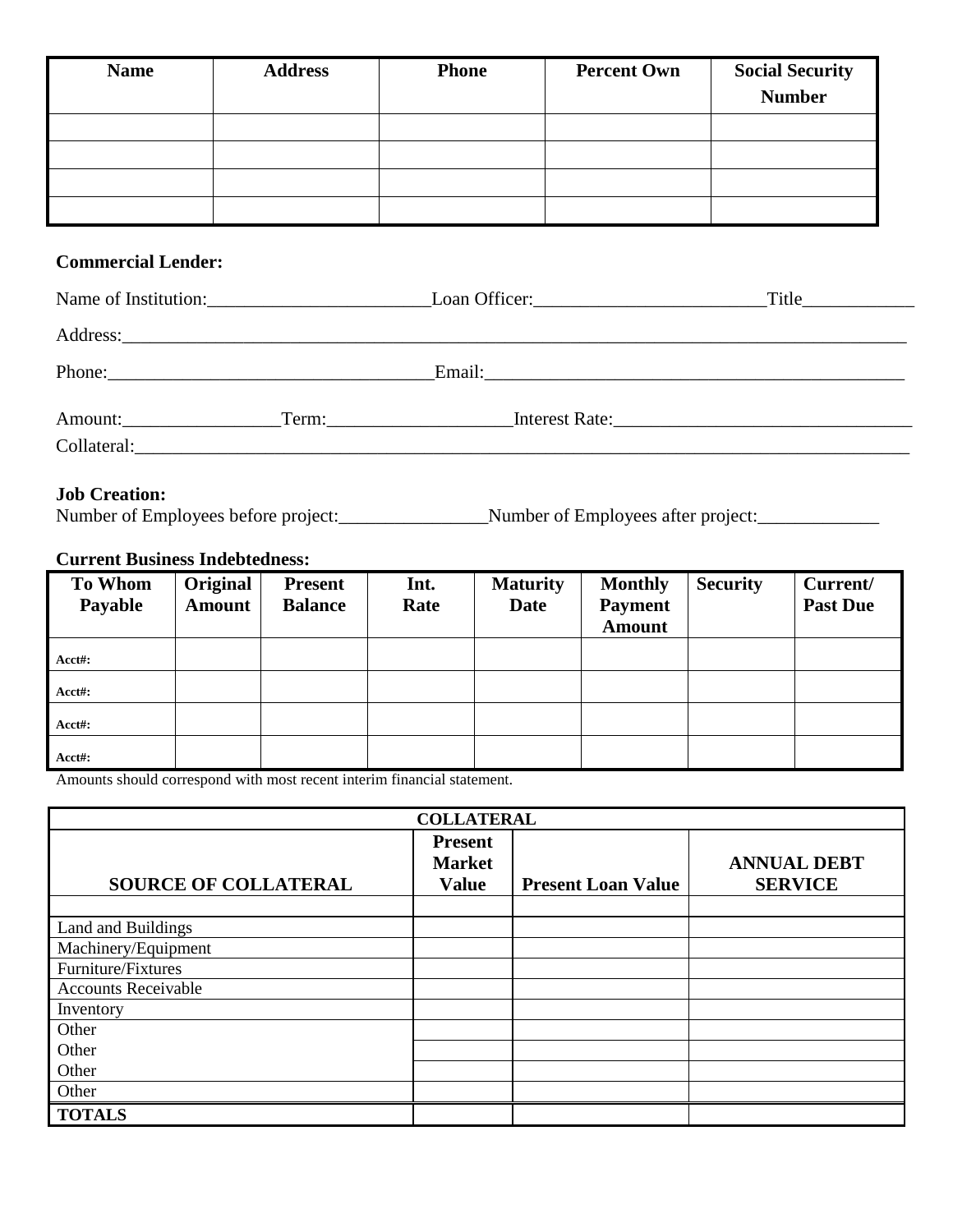| <b>Name</b> | <b>Address</b> | <b>Phone</b> | <b>Percent Own</b> | <b>Social Security</b><br><b>Number</b> |
|-------------|----------------|--------------|--------------------|-----------------------------------------|
|             |                |              |                    |                                         |
|             |                |              |                    |                                         |
|             |                |              |                    |                                         |
|             |                |              |                    |                                         |

# **Commercial Lender:**

|  | Name of Institution: Loan Officer: Loan Officer: |  |
|--|--------------------------------------------------|--|
|  |                                                  |  |
|  |                                                  |  |
|  | Interest Rate:                                   |  |
|  |                                                  |  |

# **Job Creation:**

Number of Employees before project:\_\_\_\_\_\_\_\_\_\_\_\_\_\_\_\_Number of Employees after project:\_\_\_\_\_\_\_\_\_\_\_\_\_

# **Current Business Indebtedness:**

| <b>To Whom</b><br>Payable | Original<br><b>Amount</b> | <b>Present</b><br><b>Balance</b> | Int.<br>Rate | <b>Maturity</b><br><b>Date</b> | <b>Monthly</b><br><b>Payment</b><br><b>Amount</b> | <b>Security</b> | Current/<br><b>Past Due</b> |
|---------------------------|---------------------------|----------------------------------|--------------|--------------------------------|---------------------------------------------------|-----------------|-----------------------------|
| Acct#:                    |                           |                                  |              |                                |                                                   |                 |                             |
| Acct#:                    |                           |                                  |              |                                |                                                   |                 |                             |
| Acct#:                    |                           |                                  |              |                                |                                                   |                 |                             |
| Acct#:                    |                           |                                  |              |                                |                                                   |                 |                             |

Amounts should correspond with most recent interim financial statement.

| <b>COLLATERAL</b>           |                                                 |                           |                                      |  |  |
|-----------------------------|-------------------------------------------------|---------------------------|--------------------------------------|--|--|
| <b>SOURCE OF COLLATERAL</b> | <b>Present</b><br><b>Market</b><br><b>Value</b> | <b>Present Loan Value</b> | <b>ANNUAL DEBT</b><br><b>SERVICE</b> |  |  |
|                             |                                                 |                           |                                      |  |  |
| Land and Buildings          |                                                 |                           |                                      |  |  |
| Machinery/Equipment         |                                                 |                           |                                      |  |  |
| Furniture/Fixtures          |                                                 |                           |                                      |  |  |
| <b>Accounts Receivable</b>  |                                                 |                           |                                      |  |  |
| Inventory                   |                                                 |                           |                                      |  |  |
| Other                       |                                                 |                           |                                      |  |  |
| Other                       |                                                 |                           |                                      |  |  |
| Other                       |                                                 |                           |                                      |  |  |
| Other                       |                                                 |                           |                                      |  |  |
| <b>TOTALS</b>               |                                                 |                           |                                      |  |  |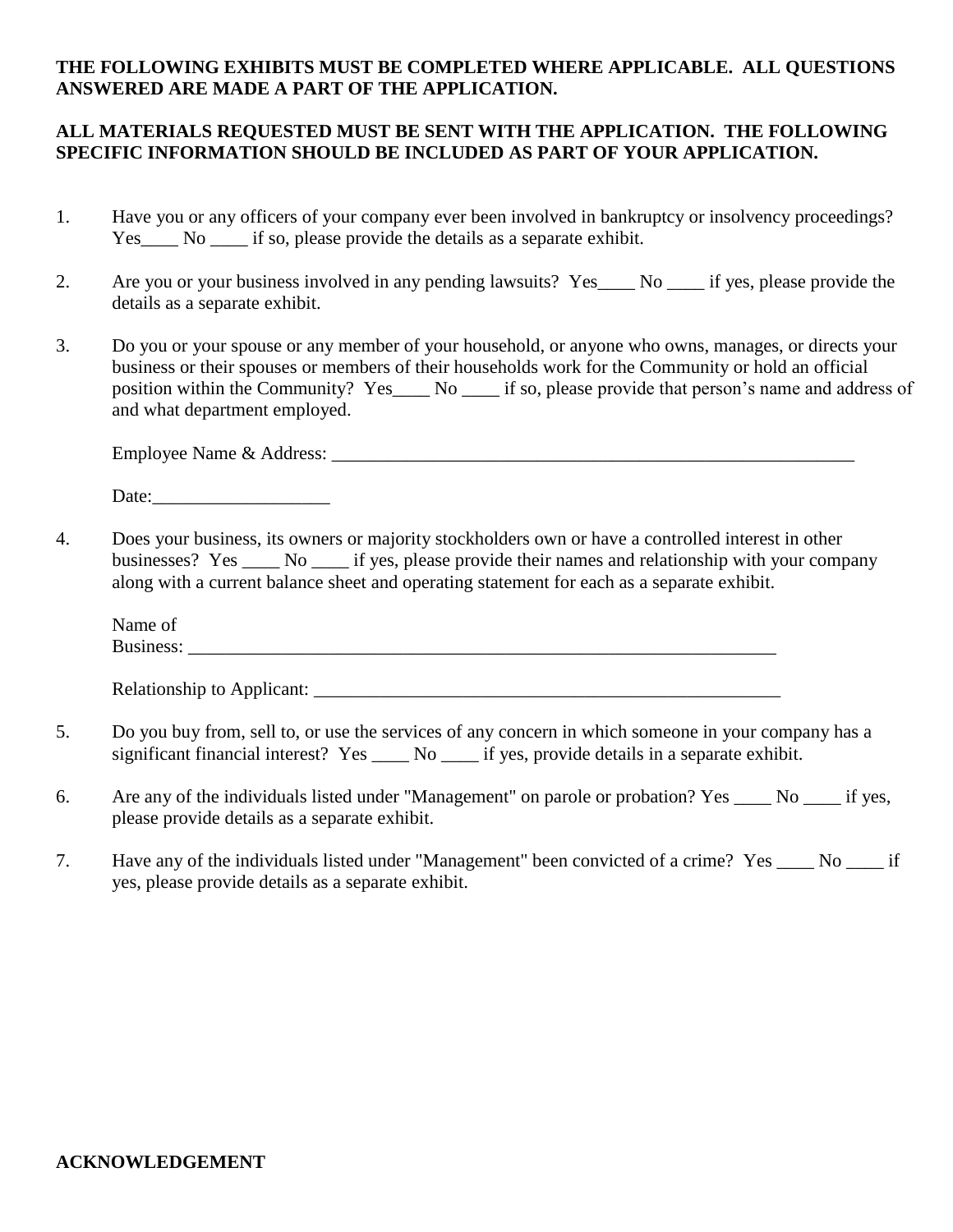#### **THE FOLLOWING EXHIBITS MUST BE COMPLETED WHERE APPLICABLE. ALL QUESTIONS ANSWERED ARE MADE A PART OF THE APPLICATION.**

### **ALL MATERIALS REQUESTED MUST BE SENT WITH THE APPLICATION. THE FOLLOWING SPECIFIC INFORMATION SHOULD BE INCLUDED AS PART OF YOUR APPLICATION.**

- 1. Have you or any officers of your company ever been involved in bankruptcy or insolvency proceedings? Yes No  $\equiv$  No  $\equiv$  if so, please provide the details as a separate exhibit.
- 2. Are you or your business involved in any pending lawsuits? Yes No if yes, please provide the details as a separate exhibit.
- 3. Do you or your spouse or any member of your household, or anyone who owns, manages, or directs your business or their spouses or members of their households work for the Community or hold an official position within the Community? Yes\_\_\_\_ No \_\_\_\_ if so, please provide that person's name and address of and what department employed.

Employee Name & Address: \_\_\_\_\_\_\_\_\_\_\_\_\_\_\_\_\_\_\_\_\_\_\_\_\_\_\_\_\_\_\_\_\_\_\_\_\_\_\_\_\_\_\_\_\_\_\_\_\_\_\_\_\_\_\_\_

Date:

4. Does your business, its owners or majority stockholders own or have a controlled interest in other businesses? Yes \_\_\_\_ No \_\_\_\_ if yes, please provide their names and relationship with your company along with a current balance sheet and operating statement for each as a separate exhibit.

Name of Business: \_\_\_\_\_\_\_\_\_\_\_\_\_\_\_\_\_\_\_\_\_\_\_\_\_\_\_\_\_\_\_\_\_\_\_\_\_\_\_\_\_\_\_\_\_\_\_\_\_\_\_\_\_\_\_\_\_\_\_\_\_\_\_

Relationship to Applicant: \_\_\_\_\_\_\_\_\_\_\_\_\_\_\_\_\_\_\_\_\_\_\_\_\_\_\_\_\_\_\_\_\_\_\_\_\_\_\_\_\_\_\_\_\_\_\_\_\_\_

- 5. Do you buy from, sell to, or use the services of any concern in which someone in your company has a significant financial interest? Yes No if yes, provide details in a separate exhibit.
- 6. Are any of the individuals listed under "Management" on parole or probation? Yes No if yes, please provide details as a separate exhibit.
- 7. Have any of the individuals listed under "Management" been convicted of a crime? Yes \_\_\_\_ No \_\_\_\_ if yes, please provide details as a separate exhibit.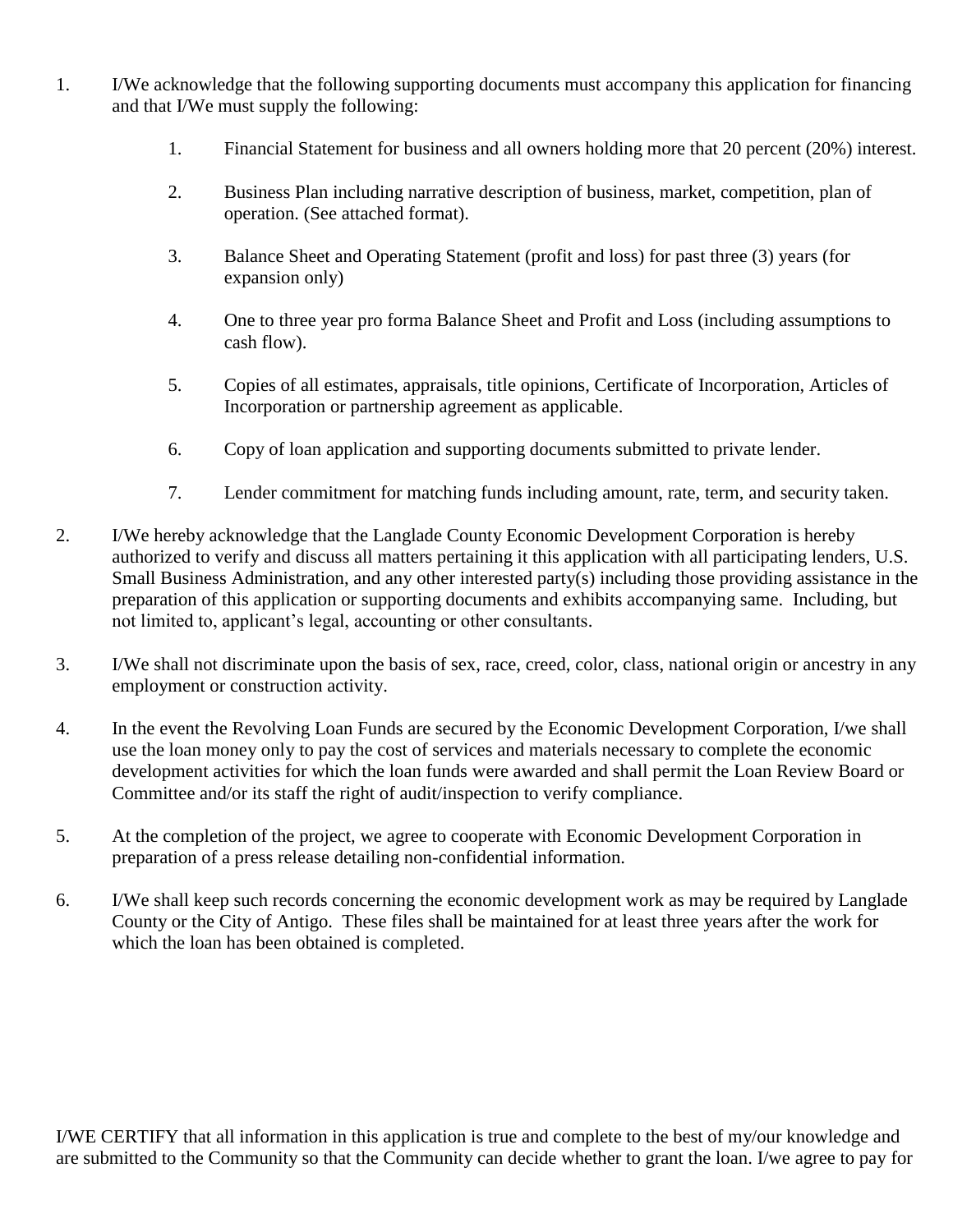- 1. I/We acknowledge that the following supporting documents must accompany this application for financing and that I/We must supply the following:
	- 1. Financial Statement for business and all owners holding more that 20 percent (20%) interest.
	- 2. Business Plan including narrative description of business, market, competition, plan of operation. (See attached format).
	- 3. Balance Sheet and Operating Statement (profit and loss) for past three (3) years (for expansion only)
	- 4. One to three year pro forma Balance Sheet and Profit and Loss (including assumptions to cash flow).
	- 5. Copies of all estimates, appraisals, title opinions, Certificate of Incorporation, Articles of Incorporation or partnership agreement as applicable.
	- 6. Copy of loan application and supporting documents submitted to private lender.
	- 7. Lender commitment for matching funds including amount, rate, term, and security taken.
- 2. I/We hereby acknowledge that the Langlade County Economic Development Corporation is hereby authorized to verify and discuss all matters pertaining it this application with all participating lenders, U.S. Small Business Administration, and any other interested party(s) including those providing assistance in the preparation of this application or supporting documents and exhibits accompanying same. Including, but not limited to, applicant's legal, accounting or other consultants.
- 3. I/We shall not discriminate upon the basis of sex, race, creed, color, class, national origin or ancestry in any employment or construction activity.
- 4. In the event the Revolving Loan Funds are secured by the Economic Development Corporation, I/we shall use the loan money only to pay the cost of services and materials necessary to complete the economic development activities for which the loan funds were awarded and shall permit the Loan Review Board or Committee and/or its staff the right of audit/inspection to verify compliance.
- 5. At the completion of the project, we agree to cooperate with Economic Development Corporation in preparation of a press release detailing non-confidential information.
- 6. I/We shall keep such records concerning the economic development work as may be required by Langlade County or the City of Antigo. These files shall be maintained for at least three years after the work for which the loan has been obtained is completed.

I/WE CERTIFY that all information in this application is true and complete to the best of my/our knowledge and are submitted to the Community so that the Community can decide whether to grant the loan. I/we agree to pay for